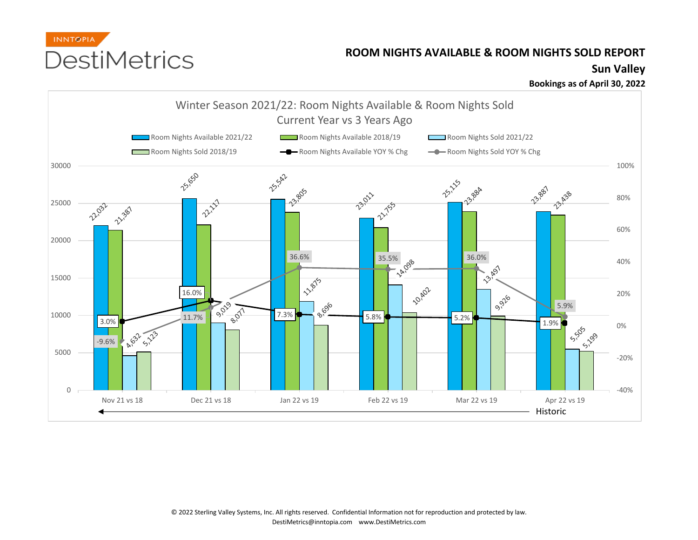

## **ROOM NIGHTS AVAILABLE & ROOM NIGHTS SOLD REPORT**

## **Sun Valley**

**Bookings as of April 30, 2022**